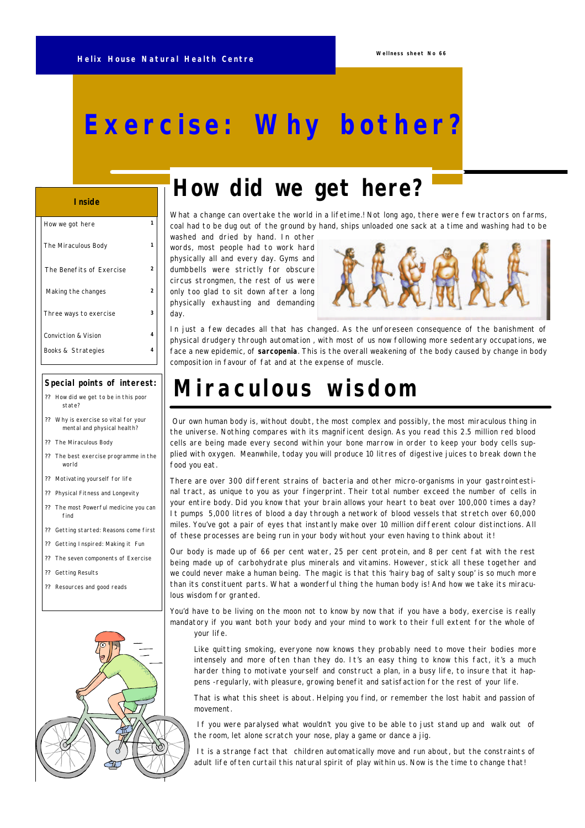# **Exercise: Why bother?**

#### **Inside**

| How we got here          | 1 |
|--------------------------|---|
| The Miraculous Body      | 1 |
| The Benefits of Exercise | 2 |
| Making the changes       | 2 |
| Three ways to exercise   | 3 |
| Conviction & Vision      | 4 |
| Books & Strategies       | 4 |

### **Special points of interest:**

- ? ? How did we get to be in this poor state?
- ? ? Why is exercise so vital for your mental and physical health?
- ?? The Miraculous Body
- ? ? The best exercise programme in the world
- ?? Motivating yourself for life
- ? ? Physical Fitness and Longevity
- The most Powerful medicine you can find
- ? ? Getting started: Reasons come first
- ? ? Getting Inspired: Making it Fun
- ? ? The seven components of Exercise
- ? ? Getting Results
- ? ? Resources and good reads



# *How did we get here?*

*What a change can overtake the world in a lifetime.! Not long ago, there were few tractors on farms, coal had to be dug out of the ground by hand, ships unloaded one sack at a time and washing had to be* 

*washed and dried by hand. In other words, most people had to work hard physically all and every day. Gyms and dumbbells were strictly for obscure circus strongmen, the rest of us were only too glad to sit down after a long physically exhausting and demanding day.* 



*In just a few decades all that has changed. As the unforeseen consequence of the banishment of physical drudgery through automation , with most of us now following more sedentary occupations, we face a new epidemic, of* **sarcopenia**. *This is the overall weakening of the body caused by change in body composition in favour of fat and at the expense of muscle.*

# *Miraculous wisdom*

 *Our own human body is, without doubt, the most complex and possibly, the most miraculous thing in the universe. Nothing compares with its magnificent design. As you read this 2.5 million red blood cells are being made every second within your bone marrow in order to keep your body cells supplied with oxygen. Meanwhile, today you will produce 10 litres of digestive juices to break down the food you eat.* 

*There are over 300 different strains of bacteria and other micro-organisms in your gastrointestinal tract, as unique to you as your fingerprint. Their total number exceed the number of cells in your entire body. Did you know that your brain allows your heart to beat over 100,000 times a day? It pumps 5,000 litres of blood a day through a network of blood vessels that stretch over 60,000 miles. You've got a pair of eyes that instantly make over 10 million different colour distinctions. All of these processes are being run in your body without your even having to think about it!* 

*Our body is made up of 66 per cent water, 25 per cent protein, and 8 per cent fat with the rest being made up of carbohydrate plus minerals and vitamins. However, stick all these together and we could never make a human being. The magic is that this 'hairy bag of salty soup' is so much more than its constituent parts. What a wonderful thing the human body is! And how we take its miraculous wisdom for granted.*

*You'd have to be living on the moon not to know by now that if you have a body, exercise is really mandatory if you want both your body and your mind to work to their full extent for the whole of your life.*

*Like quitting smoking, everyone now knows they probably need to move their bodies more intensely and more often than they do. It's an easy thing to know this fact, it's a much harder thing to motivate yourself and construct a plan, in a busy life, to insure that it happens -regularly, with pleasure, growing benefit and satisfaction for the rest of your life.*

*That is what this sheet is about. Helping you find, or remember the lost habit and passion of movement.*

 *If you were paralysed what wouldn't you give to be able to just stand up and walk out of the room, let alone scratch your nose, play a game or dance a jig.*

 *It is a strange fact that children automatically move and run about, but the constraints of adult life often curtail this natural spirit of play within us. Now is the time to change that!*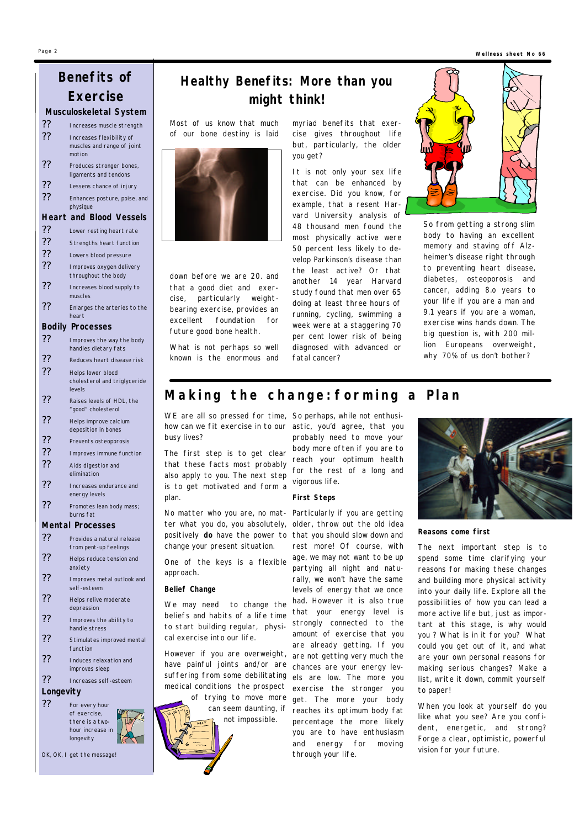#### **Wellness sheet No 66**

## **Benefits of Exercise**

**Musculoskeletal System**

| ?? | Increases muscle strength  |
|----|----------------------------|
| ?? | Increases flexibility of   |
|    | muscles and range of joint |
|    | motion                     |
| ?? | Produces stronger bones,   |
|    | ligaments and tendons      |

?? Lessens chance of injury

?? Enhances posture, poise, and physique

#### **Heart and Blood Vessels**

- ?? Lower resting heart rate
- ?? Strengths heart function
- ?? Lowers blood pressure
- ?? Improves oxygen delivery throughout the body
- ?? Increases blood supply to
- muscles
- ? ? Enlarges the arteries to the heart

### **Bodily Processes**

- ?? Improves the way the body handles dietary fats
- ?? Reduces heart disease risk
- ?? Helps lower blood cholesterol and triglyceride levels
- ?? Raises levels of HDL, the "good" cholesterol
- ? ? Helps improve calcium deposition in bones
- ? ? Prevents osteoporosis
- ? ? Improves immune function
- ?? Aids digestion and elimination
- ? ? Increases endurance and energy levels
- ?? Promotes lean body mass; burns fat

### **Mental Processes**

- ?? Provides a natural release from pent-up feelings
- ? ? Helps reduce tension and anxiety
- ?? Improves metal outlook and self-esteem
- ?? Helps relive moderate depression
- ?? Improves the ability to handle stress
- ?? Stimulates improved mental function
- ? ? Induces relaxation and improves sleep
- ? ? Increases self-esteem

## **Longevity**

?? For every hour of exercise, there is a twohour increase in longevity

*OK, OK, I get the message!*

## *Healthy Benefits: More than you might think!*

*Most of us know that much of our bone destiny is laid*



*down before we are 20. and that a good diet and exercise, particularly weightbearing exercise, provides an excellent foundation for future good bone health.* 

*What is not perhaps so well known is the enormous and* *myriad benefits that exercise gives throughout life but, particularly, the older you get?*

*It is not only your sex life that can be enhanced by exercise. Did you know, for example, that a resent Harvard University analysis of 48 thousand men found the most physically active were 50 percent less likely to develop Parkinson's disease than the least active? Or that another 14 year Harvard study found that men over 65 doing at least three hours of running, cycling, swimming a week were at a staggering 70 per cent lower risk of being diagnosed with advanced or fatal cancer?*



*So from getting a strong slim body to having an excellent memory and staving off Alzheimer's disease right through to preventing heart disease, diabetes, osteoporosis and cancer, adding 8.o years to your life if you are a man and 9.1 years if you are a woman, exercise wins hands down. The big question is, with 200 million Europeans overweight, why 70% of us don't bother?*

## *Making the change: forming a Plan*

*WE are all so pressed for time, So perhaps, while not enthusihow can we fit exercise in to our astic, you'd agree, that you busy lives?*

*The first step is to get clear that these facts most probably also apply to you. The next step is to get motivated and form a plan.* 

*ter what you do, you absolutely, positively do have the power to change your present situation.* 

*One of the keys is a flexible approach.*

#### *Belief Change*

*We may need to change the beliefs and habits of a life time to start building regular, physical exercise into our life.*

*However if you are overweight, are not getting very much the have painful joints and/or are chances are your energy levsuffering from some debilitating els are low. The more you medical conditions the prospect exercise the stronger you not impossible.*



*probably need to move your body more often if you are to reach your optimum health for the rest of a long and vigorous life.* 

### *First Steps*

*No matter who you are, no mat-Particularly if you are getting of trying to move more get. The more your body can seem daunting, if reaches its optimum body fat older, throw out the old idea that you should slow down and rest more! Of course, with age, we may not want to be up partying all night and naturally, we won't have the same levels of energy that we once had. However it is also true that your energy level is strongly connected to the amount of exercise that you are already getting. If you percentage the more likely you are to have enthusiasm and energy for moving through your life.*



#### *Reasons come first*

*The next important step is to spend some time clarifying your reasons for making these changes and building more physical activity into your daily life. Explore all the possibilities of how you can lead a more active life but, just as important at this stage, is why would you ? What is in it for you? What could you get out of it, and what are your own personal reasons for making serious changes? Make a list, write it down, commit yourself to paper!*

*When you look at yourself do you like what you see? Are you confident, energetic, and strong? Forge a clear, optimistic, powerful vision for your future.*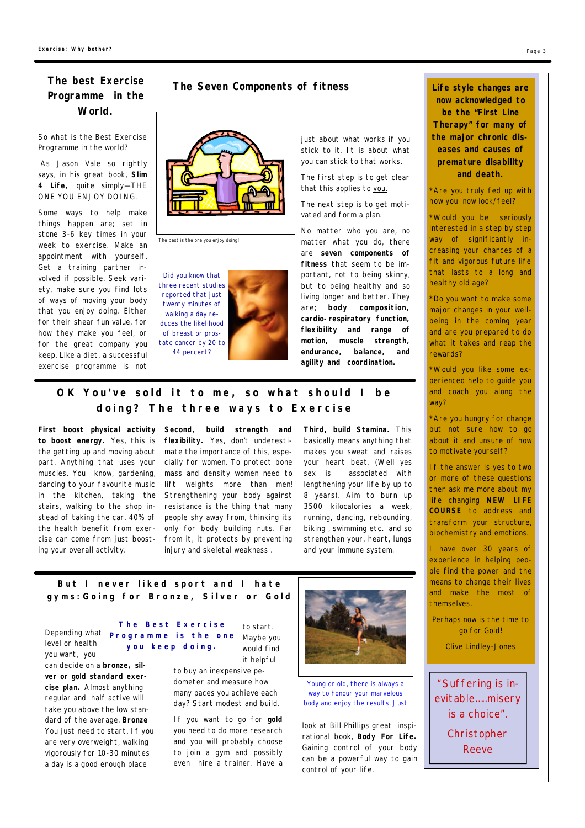# *Programme in the World.*

*So what is the Best Exercise Programme in the world?*

 *As Jason Vale so rightly says, in his great book, Slim 4 Life, quite simply— THE ONE YOU ENJOY DOING.*

*Some ways to help make things happen are; set in stone 3-6 key times in your week to exercise. Make an appointment with yourself. Get a training partner involved if possible. Seek variety, make sure you find lots of ways of moving your body that you enjoy doing. Either for their shear fun value, for how they make you feel, or for the great company you keep. Like a diet, a successful exercise programme is not*

## *The Seven Components of fitness The best Exercise*



The best is the one you enjoy doing!

Did you know that three recent studies reported that just twenty minutes of walking a day reduces the likelihood of breast or prostate cancer by 20 to 44 percent?

*just about what works if you stick to it. It is about what you can stick to that works.*

*The first step is to get clear that this applies to you.*

*The next step is to get motivated and form a plan.* 

*No matter who you are, no matter what you do, there are seven components of fitness that seem to be important, not to being skinny, but to being healthy and so living longer and better. They are; body composition, cardio-respiratory function, flexibility and range of motion, muscle strength, endurance, balance, and agility and coordination.*

## *OK You 've sold it to me, so what should I be doing? The three ways to Exercis e*

*First boost physical activity to boost energy. Yes, this is the getting up and moving about part. Anything that uses your muscles. You know, gardening, dancing to your favourite music in the kitchen, taking the stairs, walking to the shop instead of taking the car. 40% of the health benefit from exercise can come from just boosting your overall activity.*

*Second, build strength and flexibility. Yes, don't underestimate the importance of this, especially for women. To protect bone mass and density women need to lift weights more than men! Strengthening your body against resistance is the thing that many people shy away from, thinking its only for body building nuts. Far from it, it protects by preventing injury and skeletal weakness .*

*Third, build Stamina. This basically means anything that makes you sweat and raises your heart beat. (Well yes sex is associated with lengthening your life by up to 8 years). Aim to burn up 3500 kilocalories a week, running, dancing, rebounding, biking , swimming etc. and so strengthen your, heart, lungs and your immune system.*

*But I never liked sport and I hate gyms:Going for Bronze, Silver or Gold*

*level or health you want, you* 

*can decide on a bronze, silver or gold standard exercise plan. Almost anything regular and half active will take you above the low standard of the average. Bronze You just need to start. If you are very overweight, walking vigorously for 10-30 minutes a day is a good enough place* 

*Depending what*  **Programme is the one The Best Exercise you** *kee p* **doing .**

*to start. Maybe you would find it helpful* 

*to buy an inexpensive pedometer and measure how many paces you achieve each day? Start modest and build.*

*If you want to go for gold you need to do more research and you will probably choose to join a gym and possibly even hire a trainer. Have a*



Young or old, there is always a way to honour your marvelous body and enjoy the results. Just

*look at Bill Phillips great inspirational book, Body For Life. Gaining control of your body can be a powerful way to gain control of your life.*

**Life style changes are now acknowledged to be the "First Line Therapy" for many of the major chronic diseases and causes of premature disability and death.**

*\*Are you truly fed up with how you now look/feel?*

*\*Would you be seriously interested in a step by step way of significantly increasing your chances of a fit and vigorous future life that lasts to a long and healthy old age?*

*\*Do you want to make some major changes in your wellbeing in the coming year and are you prepared to do what it takes and reap the rewards?*

*\*Would you like some experienced help to guide you and coach you along the way?*

*to motivate yourself? \*Are you hungry for change but not sure how to go about it and unsure of how*

advise people of all ages to include a *If the answer is yes to two* or more of these questions then ask me more about my acknowledged that for most people, *life changing <code>NEW LIFE</code>* obtained by engaging in physical *COURSE to address and* activity of more vigorous intensity or *transform your structure, biochemistry and emotions.* 

*I have over 30 years of* experience in helping peowith  $\alpha$  and its effects on  $\alpha$  is effects on  $\alpha$ ple find the power and the means to change their lives and make the most of and immune systems are also themselves.

*A Report of the Surgeon General, go for Gold! Executive Summary, July 1996, U.S. Perhaps now is the time to* 

*Department of Health and Human Clive Lindley-JonesServices*

"Suffering is inevitable… ..misery is a choice". **Christopher** Reeve